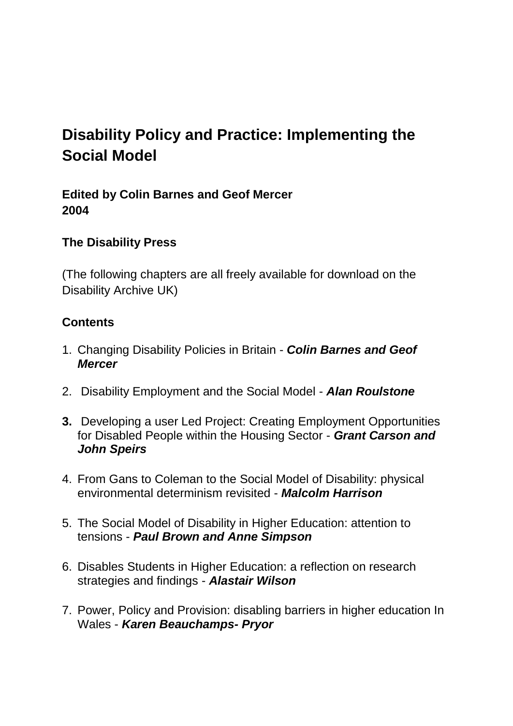## **Disability Policy and Practice: Implementing the Social Model**

**Edited by Colin Barnes and Geof Mercer 2004** 

## **The Disability Press**

(The following chapters are all freely available for download on the Disability Archive UK)

## **Contents**

- 1. Changing Disability Policies in Britain *Colin Barnes and Geof Mercer*
- 2. Disability Employment and the Social Model *Alan Roulstone*
- **3.** Developing a user Led Project: Creating Employment Opportunities for Disabled People within the Housing Sector - *Grant Carson and John Speirs*
- 4. From Gans to Coleman to the Social Model of Disability: physical environmental determinism revisited - *Malcolm Harrison*
- 5. The Social Model of Disability in Higher Education: attention to tensions - *Paul Brown and Anne Simpson*
- 6. Disables Students in Higher Education: a reflection on research strategies and findings - *Alastair Wilson*
- 7. Power, Policy and Provision: disabling barriers in higher education In Wales - *Karen Beauchamps- Pryor*